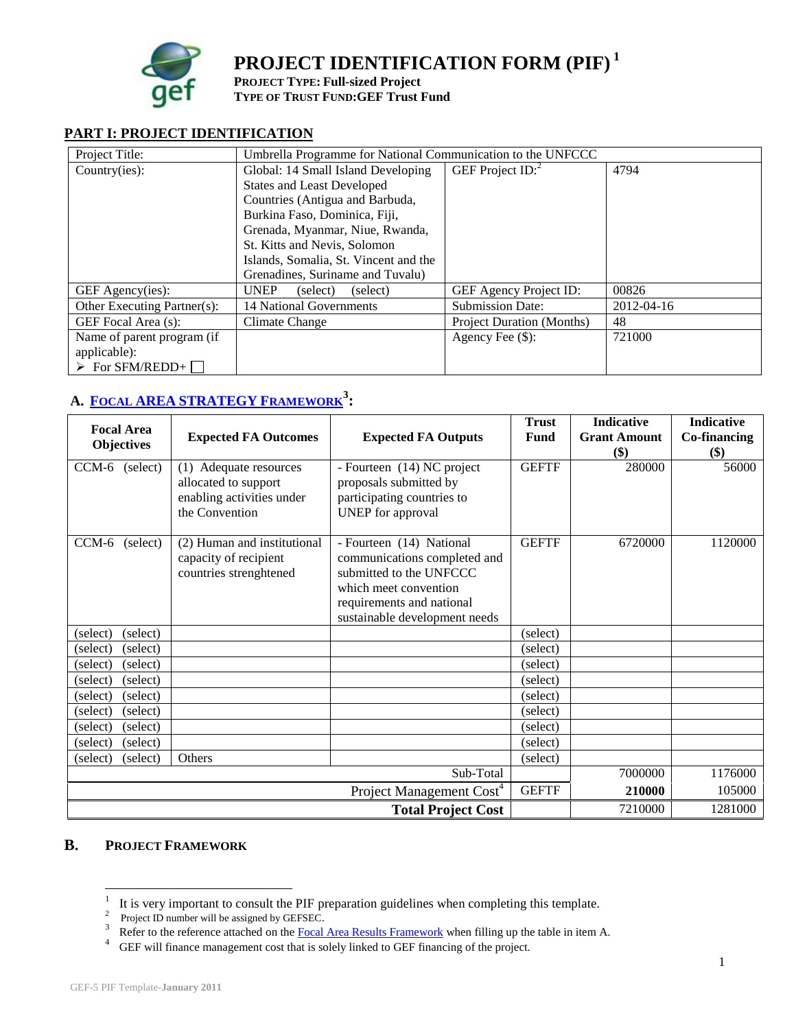

**PROJECT IDENTIFICATION FORM (PIF) <sup>1</sup>**

**PROJECT TYPE: Full-sized Project**

**TYPE OF TRUST FUND:GEF Trust Fund**

## **PART I: PROJECT IDENTIFICATION**

| Project Title:                 | Umbrella Programme for National Communication to the UNFCCC |                                  |            |  |  |
|--------------------------------|-------------------------------------------------------------|----------------------------------|------------|--|--|
| Country(ies):                  | Global: 14 Small Island Developing                          | GEF Project $ID$ : <sup>2</sup>  | 4794       |  |  |
|                                | <b>States and Least Developed</b>                           |                                  |            |  |  |
|                                | Countries (Antigua and Barbuda,                             |                                  |            |  |  |
|                                | Burkina Faso, Dominica, Fiji,                               |                                  |            |  |  |
|                                | Grenada, Myanmar, Niue, Rwanda,                             |                                  |            |  |  |
|                                | St. Kitts and Nevis, Solomon                                |                                  |            |  |  |
|                                | Islands, Somalia, St. Vincent and the                       |                                  |            |  |  |
|                                | Grenadines, Suriname and Tuvalu)                            |                                  |            |  |  |
| GEF Agency(ies):               | <b>UNEP</b><br>(select)<br>(select)                         | <b>GEF Agency Project ID:</b>    | 00826      |  |  |
| Other Executing Partner(s):    | 14 National Governments                                     | <b>Submission Date:</b>          | 2012-04-16 |  |  |
| GEF Focal Area (s):            | Climate Change                                              | <b>Project Duration (Months)</b> | 48         |  |  |
| Name of parent program (if     |                                                             | Agency Fee $(\$)$ :              | 721000     |  |  |
| applicable):                   |                                                             |                                  |            |  |  |
| $\triangleright$ For SFM/REDD+ |                                                             |                                  |            |  |  |

# **A. FOCAL AREA [STRATEGY](http://www.thegef.org/gef/sites/thegef.org/files/documents/document/GEF5-Template%20Reference%20Guide%209-14-10rev11-18-2010.doc) FRAMEWORK<sup>3</sup> :**

| <b>Focal Area</b>    | <b>Expected FA Outcomes</b>                                                                   | <b>Expected FA Outputs</b>                                                                                                                                                 | <b>Trust</b><br>Fund | <b>Indicative</b><br><b>Grant Amount</b> | <b>Indicative</b><br>Co-financing |
|----------------------|-----------------------------------------------------------------------------------------------|----------------------------------------------------------------------------------------------------------------------------------------------------------------------------|----------------------|------------------------------------------|-----------------------------------|
| <b>Objectives</b>    |                                                                                               |                                                                                                                                                                            |                      | \$)                                      | \$)                               |
| CCM-6 (select)       | (1) Adequate resources<br>allocated to support<br>enabling activities under<br>the Convention | - Fourteen (14) NC project<br>proposals submitted by<br>participating countries to<br>UNEP for approval                                                                    | <b>GEFTF</b>         | 280000                                   | 56000                             |
| CCM-6<br>(select)    | (2) Human and institutional<br>capacity of recipient<br>countries strenghtened                | - Fourteen (14) National<br>communications completed and<br>submitted to the UNFCCC<br>which meet convention<br>requirements and national<br>sustainable development needs | <b>GEFTF</b>         | 6720000                                  | 1120000                           |
| (select)<br>(select) |                                                                                               |                                                                                                                                                                            | (select)             |                                          |                                   |
| (select)<br>(select) |                                                                                               |                                                                                                                                                                            | (select)             |                                          |                                   |
| (select)<br>(select) |                                                                                               |                                                                                                                                                                            | (select)             |                                          |                                   |
| (select)<br>(select) |                                                                                               |                                                                                                                                                                            | (select)             |                                          |                                   |
| (select)<br>(select) |                                                                                               |                                                                                                                                                                            | (select)             |                                          |                                   |
| (select)<br>(select) |                                                                                               |                                                                                                                                                                            | (select)             |                                          |                                   |
| (select)<br>(select) |                                                                                               |                                                                                                                                                                            | (select)             |                                          |                                   |
| (select)<br>(select) |                                                                                               |                                                                                                                                                                            | (select)             |                                          |                                   |
| (select)<br>(select) | Others                                                                                        |                                                                                                                                                                            | (select)             |                                          |                                   |
|                      |                                                                                               | Sub-Total                                                                                                                                                                  |                      | 7000000                                  | 1176000                           |
|                      |                                                                                               | Project Management Cost <sup>4</sup>                                                                                                                                       | <b>GEFTF</b>         | 210000                                   | 105000                            |
|                      |                                                                                               | <b>Total Project Cost</b>                                                                                                                                                  |                      | 7210000                                  | 1281000                           |

# **B. PROJECT FRAMEWORK**

<sup>&</sup>lt;sup>1</sup> It is very important to consult the PIF preparation guidelines when completing this template.

 $2^{\circ}$  Project ID number will be assigned by GEFSEC.

<sup>&</sup>lt;sup>3</sup> Refer to the reference attached on the [Focal Area Results Framework](http://www.thegef.org/gef/sites/thegef.org/files/documents/document/GEF5-Template%20Reference%20Guide%209-14-10rev11-18-2010.doc) when filling up the table in item A.

<sup>&</sup>lt;sup>4</sup> GEF will finance management cost that is solely linked to GEF financing of the project.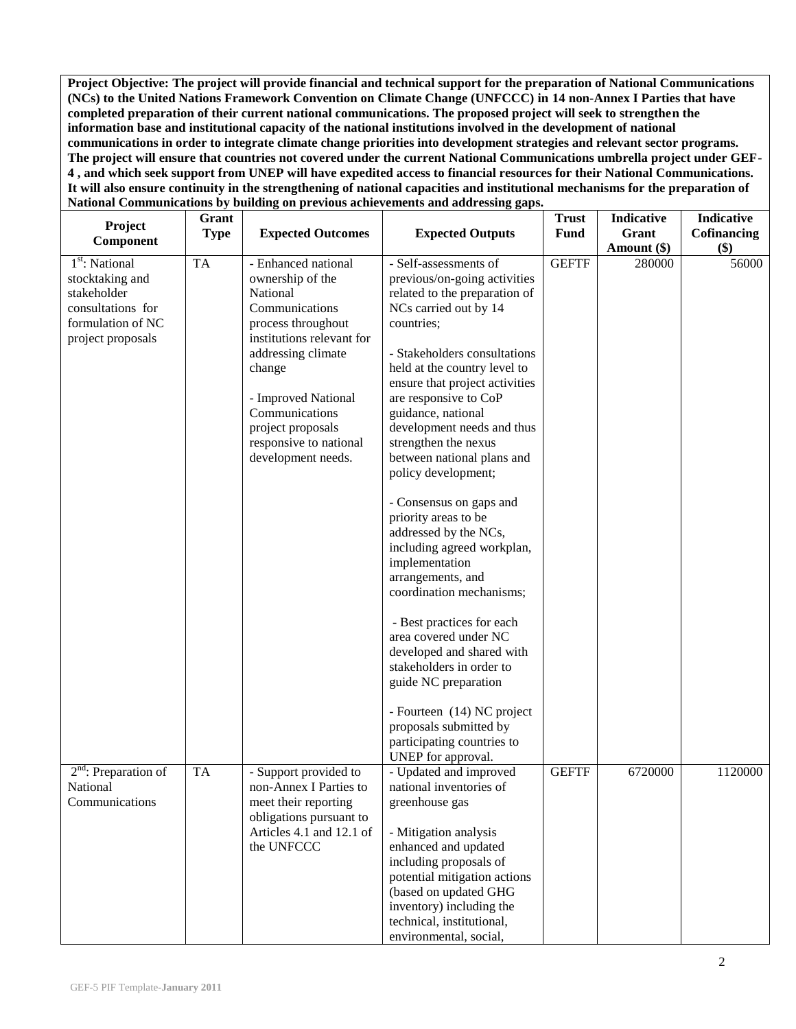**Project Objective: The project will provide financial and technical support for the preparation of National Communications (NCs) to the United Nations Framework Convention on Climate Change (UNFCCC) in 14 non-Annex I Parties that have completed preparation of their current national communications. The proposed project will seek to strengthen the information base and institutional capacity of the national institutions involved in the development of national communications in order to integrate climate change priorities into development strategies and relevant sector programs. The project will ensure that countries not covered under the current National Communications umbrella project under GEF-4 , and which seek support from UNEP will have expedited access to financial resources for their National Communications. It will also ensure continuity in the strengthening of national capacities and institutional mechanisms for the preparation of National Communications by building on previous achievements and addressing gaps.**

| Project                                                                                                                     | Grant<br><b>Type</b> | <b>Expected Outcomes</b>                                                                                                                                                                                                                                               | <b>Expected Outputs</b>                                                                                                                                                                                                                                                                                                                                                                                                                                                                                                                                                                                                                                                                                                                                                                                                   | <b>Trust</b><br><b>Fund</b> | Indicative<br>Grant | Indicative<br>Cofinancing |
|-----------------------------------------------------------------------------------------------------------------------------|----------------------|------------------------------------------------------------------------------------------------------------------------------------------------------------------------------------------------------------------------------------------------------------------------|---------------------------------------------------------------------------------------------------------------------------------------------------------------------------------------------------------------------------------------------------------------------------------------------------------------------------------------------------------------------------------------------------------------------------------------------------------------------------------------------------------------------------------------------------------------------------------------------------------------------------------------------------------------------------------------------------------------------------------------------------------------------------------------------------------------------------|-----------------------------|---------------------|---------------------------|
| Component                                                                                                                   |                      |                                                                                                                                                                                                                                                                        |                                                                                                                                                                                                                                                                                                                                                                                                                                                                                                                                                                                                                                                                                                                                                                                                                           |                             | Amount (\$)         | \$)                       |
| 1 <sup>st</sup> : National<br>stocktaking and<br>stakeholder<br>consultations for<br>formulation of NC<br>project proposals | <b>TA</b>            | - Enhanced national<br>ownership of the<br>National<br>Communications<br>process throughout<br>institutions relevant for<br>addressing climate<br>change<br>- Improved National<br>Communications<br>project proposals<br>responsive to national<br>development needs. | - Self-assessments of<br>previous/on-going activities<br>related to the preparation of<br>NCs carried out by 14<br>countries;<br>- Stakeholders consultations<br>held at the country level to<br>ensure that project activities<br>are responsive to CoP<br>guidance, national<br>development needs and thus<br>strengthen the nexus<br>between national plans and<br>policy development;<br>- Consensus on gaps and<br>priority areas to be<br>addressed by the NCs,<br>including agreed workplan,<br>implementation<br>arrangements, and<br>coordination mechanisms;<br>- Best practices for each<br>area covered under NC<br>developed and shared with<br>stakeholders in order to<br>guide NC preparation<br>- Fourteen (14) NC project<br>proposals submitted by<br>participating countries to<br>UNEP for approval. | <b>GEFTF</b>                | 280000              | 56000                     |
| $2nd$ : Preparation of<br>National<br>Communications                                                                        | <b>TA</b>            | - Support provided to<br>non-Annex I Parties to<br>meet their reporting<br>obligations pursuant to<br>Articles 4.1 and 12.1 of<br>the UNFCCC                                                                                                                           | - Updated and improved<br>national inventories of<br>greenhouse gas<br>- Mitigation analysis<br>enhanced and updated<br>including proposals of<br>potential mitigation actions<br>(based on updated GHG<br>inventory) including the<br>technical, institutional,<br>environmental, social,                                                                                                                                                                                                                                                                                                                                                                                                                                                                                                                                | <b>GEFTF</b>                | 6720000             | 1120000                   |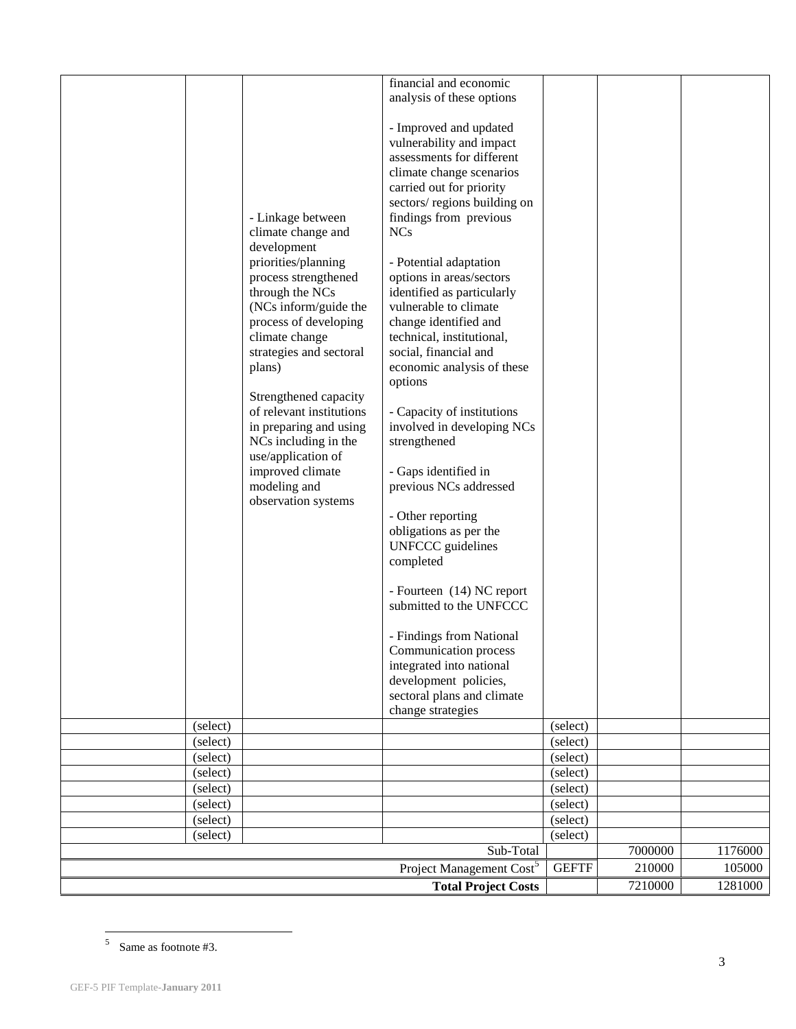|                      |                                            | financial and economic                              |                      |         |         |
|----------------------|--------------------------------------------|-----------------------------------------------------|----------------------|---------|---------|
|                      |                                            | analysis of these options                           |                      |         |         |
|                      |                                            |                                                     |                      |         |         |
|                      |                                            | - Improved and updated<br>vulnerability and impact  |                      |         |         |
|                      |                                            | assessments for different                           |                      |         |         |
|                      |                                            | climate change scenarios                            |                      |         |         |
|                      |                                            | carried out for priority                            |                      |         |         |
|                      |                                            | sectors/regions building on                         |                      |         |         |
|                      | - Linkage between                          | findings from previous                              |                      |         |         |
|                      | climate change and                         | <b>NCs</b>                                          |                      |         |         |
|                      | development                                |                                                     |                      |         |         |
|                      | priorities/planning                        | - Potential adaptation                              |                      |         |         |
|                      | process strengthened                       | options in areas/sectors                            |                      |         |         |
|                      | through the NCs<br>(NCs inform/guide the   | identified as particularly<br>vulnerable to climate |                      |         |         |
|                      | process of developing                      | change identified and                               |                      |         |         |
|                      | climate change                             | technical, institutional,                           |                      |         |         |
|                      | strategies and sectoral                    | social, financial and                               |                      |         |         |
|                      | plans)                                     | economic analysis of these                          |                      |         |         |
|                      |                                            | options                                             |                      |         |         |
|                      | Strengthened capacity                      |                                                     |                      |         |         |
|                      | of relevant institutions                   | - Capacity of institutions                          |                      |         |         |
|                      | in preparing and using                     | involved in developing NCs                          |                      |         |         |
|                      | NCs including in the<br>use/application of | strengthened                                        |                      |         |         |
|                      | improved climate                           | - Gaps identified in                                |                      |         |         |
|                      | modeling and                               | previous NCs addressed                              |                      |         |         |
|                      | observation systems                        |                                                     |                      |         |         |
|                      |                                            | - Other reporting                                   |                      |         |         |
|                      |                                            | obligations as per the                              |                      |         |         |
|                      |                                            | <b>UNFCCC</b> guidelines                            |                      |         |         |
|                      |                                            | completed                                           |                      |         |         |
|                      |                                            |                                                     |                      |         |         |
|                      |                                            | - Fourteen (14) NC report                           |                      |         |         |
|                      |                                            | submitted to the UNFCCC                             |                      |         |         |
|                      |                                            | - Findings from National                            |                      |         |         |
|                      |                                            | Communication process                               |                      |         |         |
|                      |                                            | integrated into national                            |                      |         |         |
|                      |                                            | development policies,                               |                      |         |         |
|                      |                                            | sectoral plans and climate                          |                      |         |         |
|                      |                                            | change strategies                                   |                      |         |         |
| (select)             |                                            |                                                     | (select)             |         |         |
| (select)             |                                            |                                                     | (select)             |         |         |
| (select)<br>(select) |                                            |                                                     | (select)<br>(select) |         |         |
| (select)             |                                            |                                                     | (select)             |         |         |
| (select)             |                                            |                                                     | (select)             |         |         |
| (select)             |                                            |                                                     | (select)             |         |         |
| (select)             |                                            |                                                     | (select)             |         |         |
|                      |                                            | Sub-Total                                           |                      | 7000000 | 1176000 |
|                      |                                            | Project Management Cost <sup>5</sup>                | <b>GEFTF</b>         | 210000  | 105000  |
|                      |                                            | <b>Total Project Costs</b>                          |                      | 7210000 | 1281000 |
|                      |                                            |                                                     |                      |         |         |

 $5$  Same as footnote #3.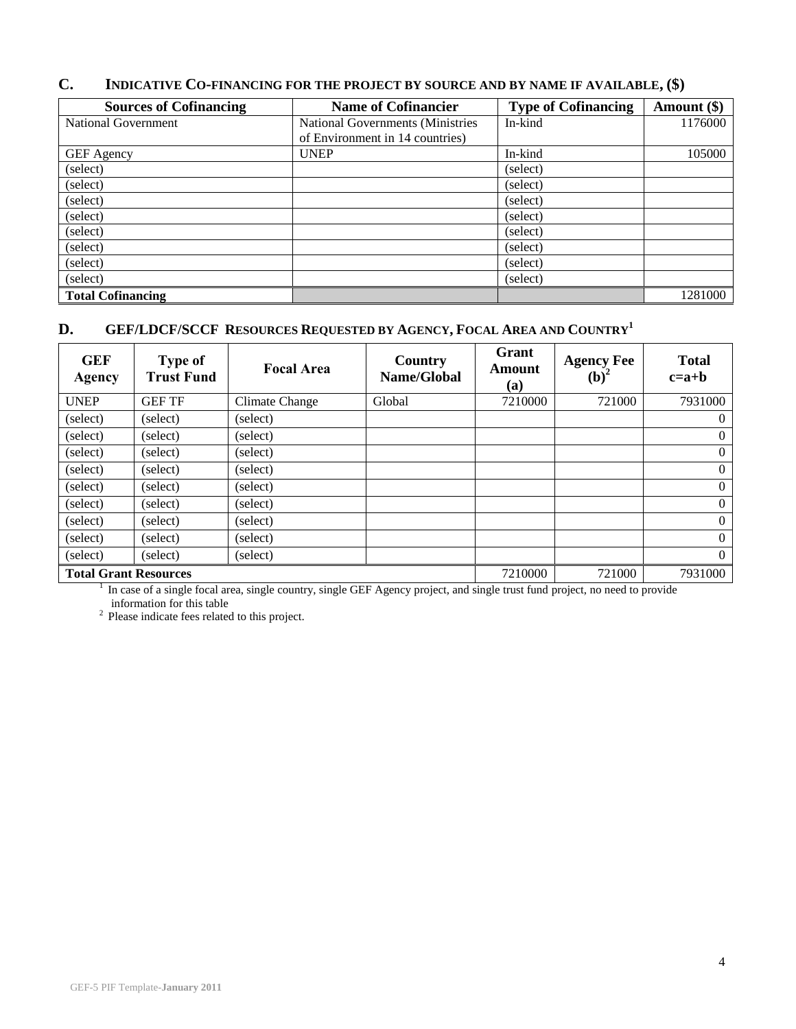| <b>Sources of Cofinancing</b> | <b>Name of Cofinancier</b>       | <b>Type of Cofinancing</b> | Amount (\$) |
|-------------------------------|----------------------------------|----------------------------|-------------|
| National Government           | National Governments (Ministries | In-kind                    | 1176000     |
|                               | of Environment in 14 countries)  |                            |             |
| <b>GEF</b> Agency             | <b>UNEP</b>                      | In-kind                    | 105000      |
| (select)                      |                                  | (select)                   |             |
| (select)                      |                                  | (select)                   |             |
| (select)                      |                                  | (select)                   |             |
| (select)                      |                                  | (select)                   |             |
| (select)                      |                                  | (select)                   |             |
| (select)                      |                                  | (select)                   |             |
| (select)                      |                                  | (select)                   |             |
| (select)                      |                                  | (select)                   |             |
| <b>Total Cofinancing</b>      |                                  |                            | 1281000     |

## **C. INDICATIVE CO-[FINANCING](http://gefweb.org/Documents/Council_Documents/GEF_C21/C.20.6.Rev.1.pdf) FOR THE PROJECT BY SOURCE AND BY NAME IF AVAILABLE, (\$)**

# **D. GEF/LDCF/SCCF RESOURCES REQUESTED BY AGENCY, FOCAL AREA AND COUNTRY<sup>1</sup>**

| <b>GEF</b><br>Agency                              | <b>Type of</b><br><b>Trust Fund</b> | <b>Focal Area</b>                                                                                                            | Country<br>Name/Global | Grant<br>Amount<br><b>(a)</b> | <b>Agency Fee</b><br>$(b)2$ | <b>Total</b><br>$c=a+b$ |
|---------------------------------------------------|-------------------------------------|------------------------------------------------------------------------------------------------------------------------------|------------------------|-------------------------------|-----------------------------|-------------------------|
| <b>UNEP</b>                                       | <b>GEF TF</b>                       | Climate Change                                                                                                               | Global                 | 7210000                       | 721000                      | 7931000                 |
| (select)                                          | (select)                            | (select)                                                                                                                     |                        |                               |                             | $\overline{0}$          |
| (select)                                          | (select)                            | (select)                                                                                                                     |                        |                               |                             | $\overline{0}$          |
| (select)                                          | (select)                            | (select)                                                                                                                     |                        |                               |                             | $\overline{0}$          |
| (select)                                          | (select)                            | (select)                                                                                                                     |                        |                               |                             | $\overline{0}$          |
| (select)                                          | (select)                            | (select)                                                                                                                     |                        |                               |                             | $\overline{0}$          |
| (select)                                          | (select)                            | (select)                                                                                                                     |                        |                               |                             | $\overline{0}$          |
| (select)                                          | (select)                            | (select)                                                                                                                     |                        |                               |                             | $\overline{0}$          |
| (select)                                          | (select)                            | (select)                                                                                                                     |                        |                               |                             | $\overline{0}$          |
| (select)                                          | (select)                            | (select)                                                                                                                     |                        |                               |                             | $\overline{0}$          |
| <b>Total Grant Resources</b><br>7210000<br>721000 |                                     |                                                                                                                              |                        |                               | 7931000                     |                         |
|                                                   |                                     | In case of a single focal area, single country, single GEF Agency project, and single trust fund project, no need to provide |                        |                               |                             |                         |

information for this table

<sup>2</sup> Please indicate fees related to this project.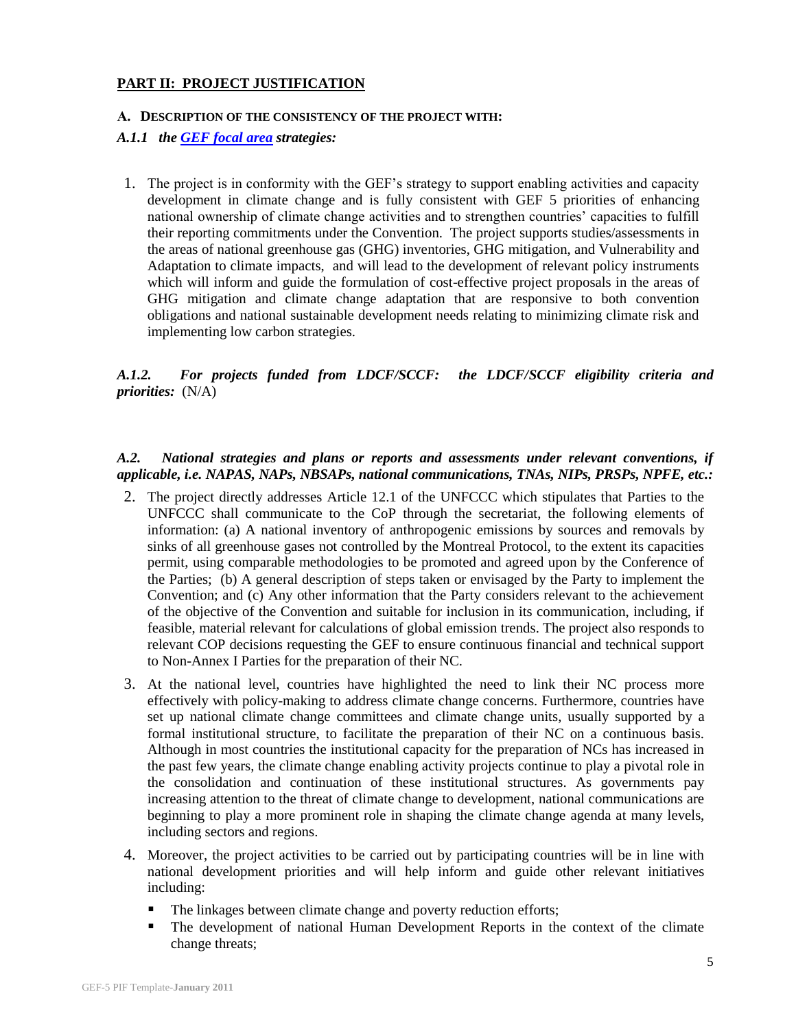#### **PART II: PROJECT JUSTIFICATION**

#### **A. DESCRIPTION OF THE CONSISTENCY OF THE PROJECT WITH:**

#### *A.1.1 the [GEF focal area](http://www.thegef.org/gef/sites/thegef.org/files/documents/GEF.R.5.19.Rev_.1.2009.pdf) strategies:*

1. The project is in conformity with the GEF's strategy to support enabling activities and capacity development in climate change and is fully consistent with GEF 5 priorities of enhancing national ownership of climate change activities and to strengthen countries' capacities to fulfill their reporting commitments under the Convention. The project supports studies/assessments in the areas of national greenhouse gas (GHG) inventories, GHG mitigation, and Vulnerability and Adaptation to climate impacts, and will lead to the development of relevant policy instruments which will inform and guide the formulation of cost-effective project proposals in the areas of GHG mitigation and climate change adaptation that are responsive to both convention obligations and national sustainable development needs relating to minimizing climate risk and implementing low carbon strategies.

## *A.1.2. For projects funded from LDCF/SCCF: the LDCF/SCCF eligibility criteria and priorities:* (N/A)

## *A.2. National strategies and plans or reports and assessments under relevant conventions, if applicable, i.e. NAPAS, NAPs, NBSAPs, national communications, TNAs, NIPs, PRSPs, NPFE, etc.:*

- 2. The project directly addresses Article 12.1 of the UNFCCC which stipulates that Parties to the UNFCCC shall communicate to the CoP through the secretariat, the following elements of information: (a) A national inventory of anthropogenic emissions by sources and removals by sinks of all greenhouse gases not controlled by the Montreal Protocol, to the extent its capacities permit, using comparable methodologies to be promoted and agreed upon by the Conference of the Parties; (b) A general description of steps taken or envisaged by the Party to implement the Convention; and (c) Any other information that the Party considers relevant to the achievement of the objective of the Convention and suitable for inclusion in its communication, including, if feasible, material relevant for calculations of global emission trends. The project also responds to relevant COP decisions requesting the GEF to ensure continuous financial and technical support to Non-Annex I Parties for the preparation of their NC.
- 3. At the national level, countries have highlighted the need to link their NC process more effectively with policy-making to address climate change concerns. Furthermore, countries have set up national climate change committees and climate change units, usually supported by a formal institutional structure, to facilitate the preparation of their NC on a continuous basis. Although in most countries the institutional capacity for the preparation of NCs has increased in the past few years, the climate change enabling activity projects continue to play a pivotal role in the consolidation and continuation of these institutional structures. As governments pay increasing attention to the threat of climate change to development, national communications are beginning to play a more prominent role in shaping the climate change agenda at many levels, including sectors and regions.
- 4. Moreover, the project activities to be carried out by participating countries will be in line with national development priorities and will help inform and guide other relevant initiatives including:
	- The linkages between climate change and poverty reduction efforts;
	- The development of national Human Development Reports in the context of the climate change threats;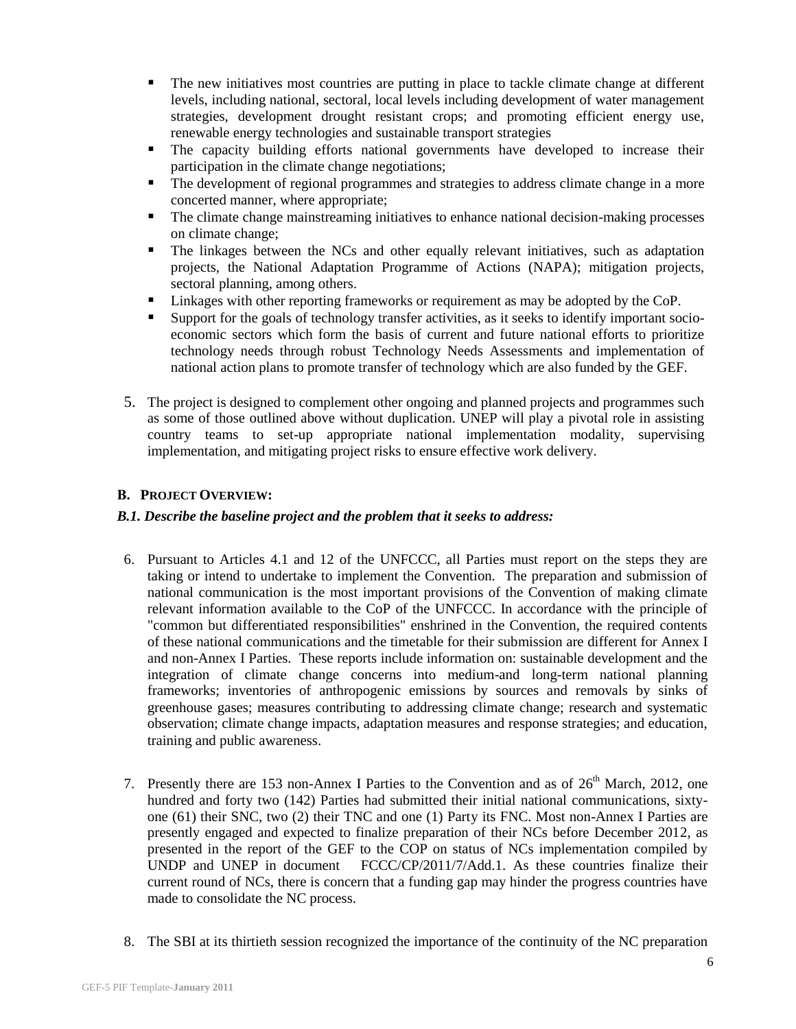- The new initiatives most countries are putting in place to tackle climate change at different levels, including national, sectoral, local levels including development of water management strategies, development drought resistant crops; and promoting efficient energy use, renewable energy technologies and sustainable transport strategies
- The capacity building efforts national governments have developed to increase their participation in the climate change negotiations;
- The development of regional programmes and strategies to address climate change in a more concerted manner, where appropriate;
- The climate change mainstreaming initiatives to enhance national decision-making processes on climate change;
- The linkages between the NCs and other equally relevant initiatives, such as adaptation projects, the National Adaptation Programme of Actions (NAPA); mitigation projects, sectoral planning, among others.
- Linkages with other reporting frameworks or requirement as may be adopted by the CoP.
- Support for the goals of technology transfer activities, as it seeks to identify important socioeconomic sectors which form the basis of current and future national efforts to prioritize technology needs through robust Technology Needs Assessments and implementation of national action plans to promote transfer of technology which are also funded by the GEF.
- 5. The project is designed to complement other ongoing and planned projects and programmes such as some of those outlined above without duplication. UNEP will play a pivotal role in assisting country teams to set-up appropriate national implementation modality, supervising implementation, and mitigating project risks to ensure effective work delivery.

#### **B. PROJECT OVERVIEW:**

#### *B.1. Describe the baseline project and the problem that it seeks to address:*

- 6. Pursuant to Articles 4.1 and 12 of the UNFCCC, all Parties must report on the steps they are taking or intend to undertake to implement the Convention. The preparation and submission of national communication is the most important provisions of the Convention of making climate relevant information available to the CoP of the UNFCCC. In accordance with the principle of "common but differentiated responsibilities" enshrined in the Convention, the required contents of these national communications and the timetable for their submission are different for Annex I and non-Annex I Parties. These reports include information on: sustainable development and the integration of climate change concerns into medium-and long-term national planning frameworks; inventories of anthropogenic emissions by sources and removals by sinks of greenhouse gases; measures contributing to addressing climate change; research and systematic observation; climate change impacts, adaptation measures and response strategies; and education, training and public awareness.
- 7. Presently there are 153 non-Annex I Parties to the Convention and as of  $26<sup>th</sup>$  March, 2012, one hundred and forty two (142) Parties had submitted their initial national communications, sixtyone (61) their SNC, two (2) their TNC and one (1) Party its FNC. Most non-Annex I Parties are presently engaged and expected to finalize preparation of their NCs before December 2012, as presented in the report of the GEF to the COP on status of NCs implementation compiled by UNDP and UNEP in document FCCC/CP/2011/7/Add.1. As these countries finalize their current round of NCs, there is concern that a funding gap may hinder the progress countries have made to consolidate the NC process.
- 8. The SBI at its thirtieth session recognized the importance of the continuity of the NC preparation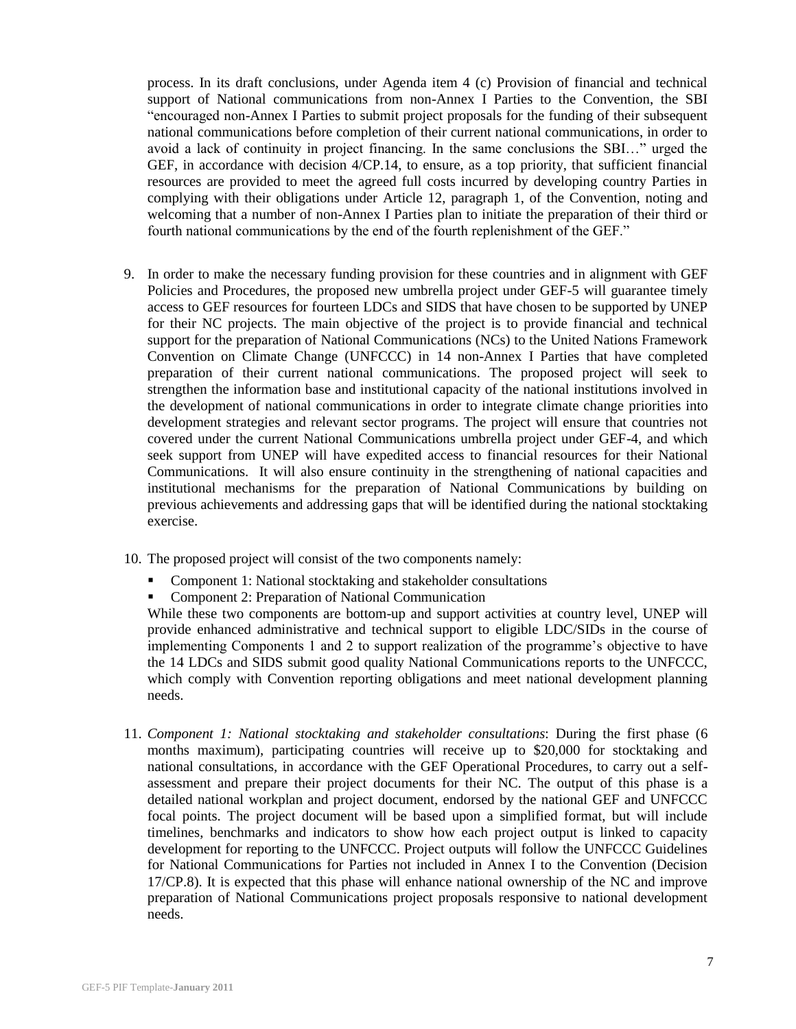process. In its draft conclusions, under Agenda item 4 (c) Provision of financial and technical support of National communications from non-Annex I Parties to the Convention, the SBI "encouraged non-Annex I Parties to submit project proposals for the funding of their subsequent national communications before completion of their current national communications, in order to avoid a lack of continuity in project financing. In the same conclusions the SBI…" urged the GEF, in accordance with decision 4/CP.14, to ensure, as a top priority, that sufficient financial resources are provided to meet the agreed full costs incurred by developing country Parties in complying with their obligations under Article 12, paragraph 1, of the Convention, noting and welcoming that a number of non-Annex I Parties plan to initiate the preparation of their third or fourth national communications by the end of the fourth replenishment of the GEF."

- 9. In order to make the necessary funding provision for these countries and in alignment with GEF Policies and Procedures, the proposed new umbrella project under GEF-5 will guarantee timely access to GEF resources for fourteen LDCs and SIDS that have chosen to be supported by UNEP for their NC projects. The main objective of the project is to provide financial and technical support for the preparation of National Communications (NCs) to the United Nations Framework Convention on Climate Change (UNFCCC) in 14 non-Annex I Parties that have completed preparation of their current national communications. The proposed project will seek to strengthen the information base and institutional capacity of the national institutions involved in the development of national communications in order to integrate climate change priorities into development strategies and relevant sector programs. The project will ensure that countries not covered under the current National Communications umbrella project under GEF-4, and which seek support from UNEP will have expedited access to financial resources for their National Communications. It will also ensure continuity in the strengthening of national capacities and institutional mechanisms for the preparation of National Communications by building on previous achievements and addressing gaps that will be identified during the national stocktaking exercise.
- 10. The proposed project will consist of the two components namely:
	- Component 1: National stocktaking and stakeholder consultations
	- Component 2: Preparation of National Communication

While these two components are bottom-up and support activities at country level, UNEP will provide enhanced administrative and technical support to eligible LDC/SIDs in the course of implementing Components 1 and 2 to support realization of the programme's objective to have the 14 LDCs and SIDS submit good quality National Communications reports to the UNFCCC, which comply with Convention reporting obligations and meet national development planning needs.

11. *Component 1: National stocktaking and stakeholder consultations*: During the first phase (6 months maximum), participating countries will receive up to \$20,000 for stocktaking and national consultations, in accordance with the GEF Operational Procedures, to carry out a selfassessment and prepare their project documents for their NC. The output of this phase is a detailed national workplan and project document, endorsed by the national GEF and UNFCCC focal points. The project document will be based upon a simplified format, but will include timelines, benchmarks and indicators to show how each project output is linked to capacity development for reporting to the UNFCCC. Project outputs will follow the UNFCCC Guidelines for National Communications for Parties not included in Annex I to the Convention (Decision 17/CP.8). It is expected that this phase will enhance national ownership of the NC and improve preparation of National Communications project proposals responsive to national development needs.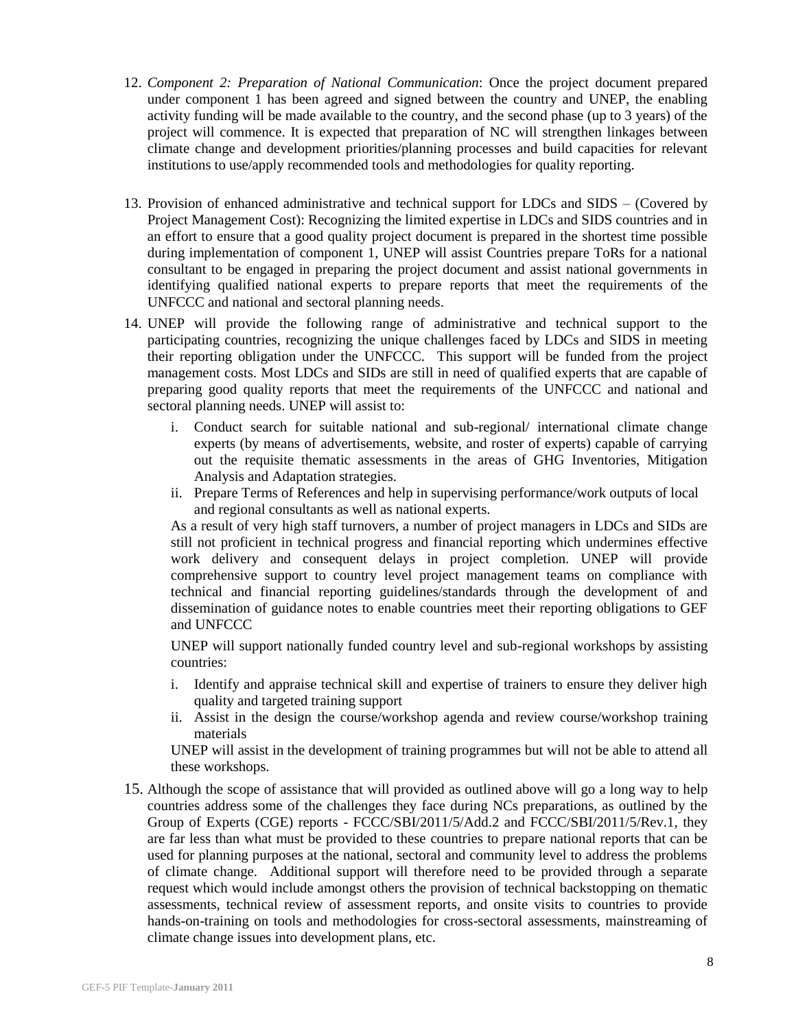- 12. *Component 2: Preparation of National Communication*: Once the project document prepared under component 1 has been agreed and signed between the country and UNEP, the enabling activity funding will be made available to the country, and the second phase (up to 3 years) of the project will commence. It is expected that preparation of NC will strengthen linkages between climate change and development priorities/planning processes and build capacities for relevant institutions to use/apply recommended tools and methodologies for quality reporting.
- 13. Provision of enhanced administrative and technical support for LDCs and SIDS (Covered by Project Management Cost): Recognizing the limited expertise in LDCs and SIDS countries and in an effort to ensure that a good quality project document is prepared in the shortest time possible during implementation of component 1, UNEP will assist Countries prepare ToRs for a national consultant to be engaged in preparing the project document and assist national governments in identifying qualified national experts to prepare reports that meet the requirements of the UNFCCC and national and sectoral planning needs.
- 14. UNEP will provide the following range of administrative and technical support to the participating countries, recognizing the unique challenges faced by LDCs and SIDS in meeting their reporting obligation under the UNFCCC. This support will be funded from the project management costs. Most LDCs and SIDs are still in need of qualified experts that are capable of preparing good quality reports that meet the requirements of the UNFCCC and national and sectoral planning needs. UNEP will assist to:
	- i. Conduct search for suitable national and sub-regional/ international climate change experts (by means of advertisements, website, and roster of experts) capable of carrying out the requisite thematic assessments in the areas of GHG Inventories, Mitigation Analysis and Adaptation strategies.
	- ii. Prepare Terms of References and help in supervising performance/work outputs of local and regional consultants as well as national experts.

As a result of very high staff turnovers, a number of project managers in LDCs and SIDs are still not proficient in technical progress and financial reporting which undermines effective work delivery and consequent delays in project completion. UNEP will provide comprehensive support to country level project management teams on compliance with technical and financial reporting guidelines/standards through the development of and dissemination of guidance notes to enable countries meet their reporting obligations to GEF and UNFCCC

UNEP will support nationally funded country level and sub-regional workshops by assisting countries:

- i. Identify and appraise technical skill and expertise of trainers to ensure they deliver high quality and targeted training support
- ii. Assist in the design the course/workshop agenda and review course/workshop training materials

UNEP will assist in the development of training programmes but will not be able to attend all these workshops.

15. Although the scope of assistance that will provided as outlined above will go a long way to help countries address some of the challenges they face during NCs preparations, as outlined by the Group of Experts (CGE) reports - FCCC/SBI/2011/5/Add.2 and FCCC/SBI/2011/5/Rev.1, they are far less than what must be provided to these countries to prepare national reports that can be used for planning purposes at the national, sectoral and community level to address the problems of climate change. Additional support will therefore need to be provided through a separate request which would include amongst others the provision of technical backstopping on thematic assessments, technical review of assessment reports, and onsite visits to countries to provide hands-on-training on tools and methodologies for cross-sectoral assessments, mainstreaming of climate change issues into development plans, etc.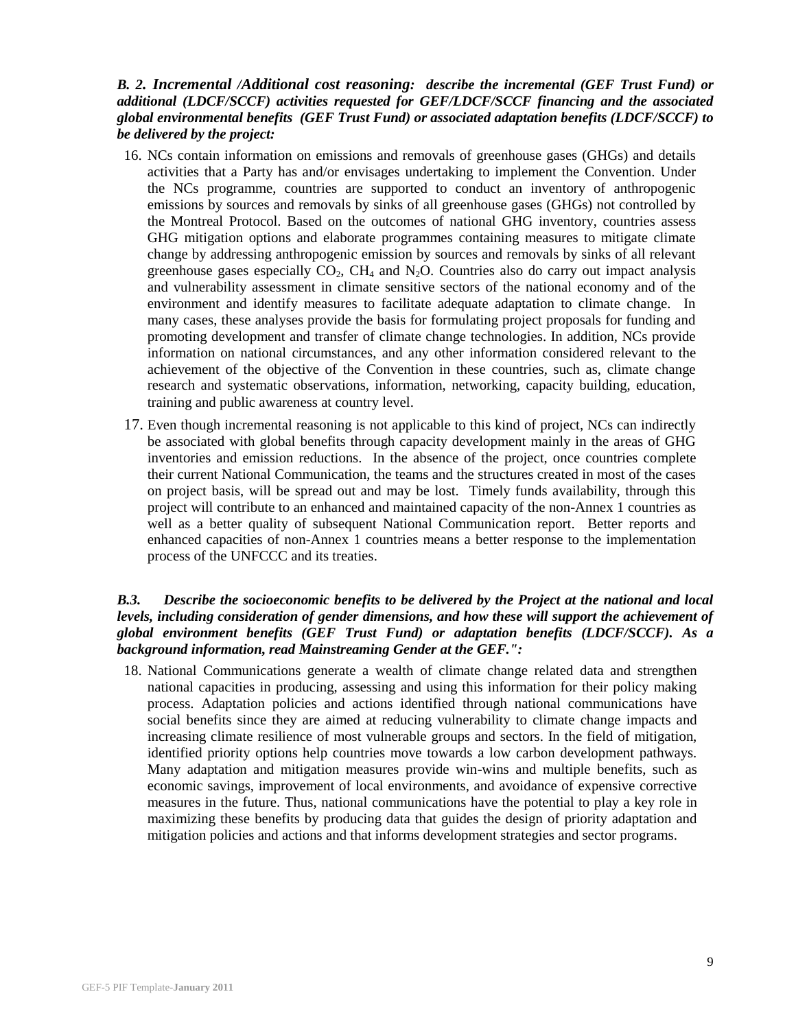#### *B. 2[. Incremental](http://www.thegef.org/gef/node/1890) /[Additional cost reasoning](http://www.thegef.org/gef/node/1325): describe the incremental (GEF Trust Fund) or additional (LDCF/SCCF) activities requested for GEF/LDCF/SCCF financing and the associated [global environmental benefits](http://www.thegef.org/gef/sites/thegef.org/files/documents/CPE-Global_Environmental_Benefits_Assessment_Outline.pdf) (GEF Trust Fund) or associated adaptation benefits (LDCF/SCCF) to be delivered by the project:*

- 16. NCs contain information on emissions and removals of greenhouse gases (GHGs) and details activities that a Party has and/or envisages undertaking to implement the Convention. Under the NCs programme, countries are supported to conduct an inventory of anthropogenic emissions by sources and removals by sinks of all greenhouse gases (GHGs) not controlled by the Montreal Protocol. Based on the outcomes of national GHG inventory, countries assess GHG mitigation options and elaborate programmes containing measures to mitigate climate change by addressing anthropogenic emission by sources and removals by sinks of all relevant greenhouse gases especially  $CO<sub>2</sub>$ ,  $CH<sub>4</sub>$  and  $N<sub>2</sub>O$ . Countries also do carry out impact analysis and vulnerability assessment in climate sensitive sectors of the national economy and of the environment and identify measures to facilitate adequate adaptation to climate change. In many cases, these analyses provide the basis for formulating project proposals for funding and promoting development and transfer of climate change technologies. In addition, NCs provide information on national circumstances, and any other information considered relevant to the achievement of the objective of the Convention in these countries, such as, climate change research and systematic observations, information, networking, capacity building, education, training and public awareness at country level.
- 17. Even though incremental reasoning is not applicable to this kind of project, NCs can indirectly be associated with global benefits through capacity development mainly in the areas of GHG inventories and emission reductions. In the absence of the project, once countries complete their current National Communication, the teams and the structures created in most of the cases on project basis, will be spread out and may be lost. Timely funds availability, through this project will contribute to an enhanced and maintained capacity of the non-Annex 1 countries as well as a better quality of subsequent National Communication report. Better reports and enhanced capacities of non-Annex 1 countries means a better response to the implementation process of the UNFCCC and its treaties.

#### *B.3. Describe the socioeconomic benefits to be delivered by the Project at the national and local levels, including consideration of gender dimensions, and how these will support the achievement of global environment benefits (GEF Trust Fund) or adaptation benefits (LDCF/SCCF). As a background information, read [Mainstreaming Gender at the GEF.":](http://www.thegef.org/gef/sites/thegef.org/files/publication/mainstreaming-gender-at-the-GEF.pdf)*

18. National Communications generate a wealth of climate change related data and strengthen national capacities in producing, assessing and using this information for their policy making process. Adaptation policies and actions identified through national communications have social benefits since they are aimed at reducing vulnerability to climate change impacts and increasing climate resilience of most vulnerable groups and sectors. In the field of mitigation, identified priority options help countries move towards a low carbon development pathways. Many adaptation and mitigation measures provide win-wins and multiple benefits, such as economic savings, improvement of local environments, and avoidance of expensive corrective measures in the future. Thus, national communications have the potential to play a key role in maximizing these benefits by producing data that guides the design of priority adaptation and mitigation policies and actions and that informs development strategies and sector programs.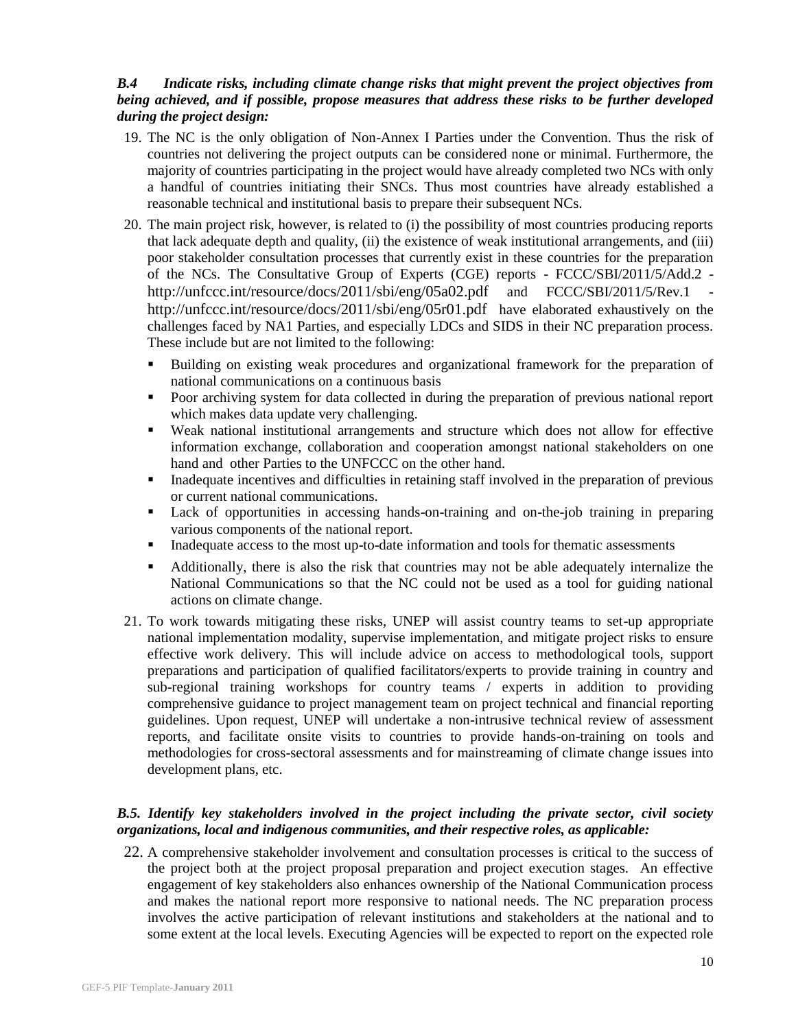## *B.4 Indicate risks, including climate change risks that might prevent the project objectives from being achieved, and if possible, propose measures that address these risks to be further developed during the project design:*

- 19. The NC is the only obligation of Non-Annex I Parties under the Convention. Thus the risk of countries not delivering the project outputs can be considered none or minimal. Furthermore, the majority of countries participating in the project would have already completed two NCs with only a handful of countries initiating their SNCs. Thus most countries have already established a reasonable technical and institutional basis to prepare their subsequent NCs.
- 20. The main project risk, however, is related to (i) the possibility of most countries producing reports that lack adequate depth and quality, (ii) the existence of weak institutional arrangements, and (iii) poor stakeholder consultation processes that currently exist in these countries for the preparation of the NCs. The Consultative Group of Experts (CGE) reports - FCCC/SBI/2011/5/Add.2 <http://unfccc.int/resource/docs/2011/sbi/eng/05a02.pdf> and FCCC/SBI/2011/5/Rev.1 <http://unfccc.int/resource/docs/2011/sbi/eng/05r01.pdf> have elaborated exhaustively on the challenges faced by NA1 Parties, and especially LDCs and SIDS in their NC preparation process. These include but are not limited to the following:
	- Building on existing weak procedures and organizational framework for the preparation of national communications on a continuous basis
	- Poor archiving system for data collected in during the preparation of previous national report which makes data update very challenging.
	- Weak national institutional arrangements and structure which does not allow for effective information exchange, collaboration and cooperation amongst national stakeholders on one hand and other Parties to the UNFCCC on the other hand.
	- Inadequate incentives and difficulties in retaining staff involved in the preparation of previous or current national communications.
	- Lack of opportunities in accessing hands-on-training and on-the-job training in preparing various components of the national report.
	- Inadequate access to the most up-to-date information and tools for thematic assessments
	- Additionally, there is also the risk that countries may not be able adequately internalize the National Communications so that the NC could not be used as a tool for guiding national actions on climate change.
- 21. To work towards mitigating these risks, UNEP will assist country teams to set-up appropriate national implementation modality, supervise implementation, and mitigate project risks to ensure effective work delivery. This will include advice on access to methodological tools, support preparations and participation of qualified facilitators/experts to provide training in country and sub-regional training workshops for country teams / experts in addition to providing comprehensive guidance to project management team on project technical and financial reporting guidelines. Upon request, UNEP will undertake a non-intrusive technical review of assessment reports, and facilitate onsite visits to countries to provide hands-on-training on tools and methodologies for cross-sectoral assessments and for mainstreaming of climate change issues into development plans, etc.

## *B.5. Identify key stakeholders involved in the project including the private sector, civil society organizations, local and indigenous communities, and their respective roles, as applicable:*

22. A comprehensive stakeholder involvement and consultation processes is critical to the success of the project both at the project proposal preparation and project execution stages. An effective engagement of key stakeholders also enhances ownership of the National Communication process and makes the national report more responsive to national needs. The NC preparation process involves the active participation of relevant institutions and stakeholders at the national and to some extent at the local levels. Executing Agencies will be expected to report on the expected role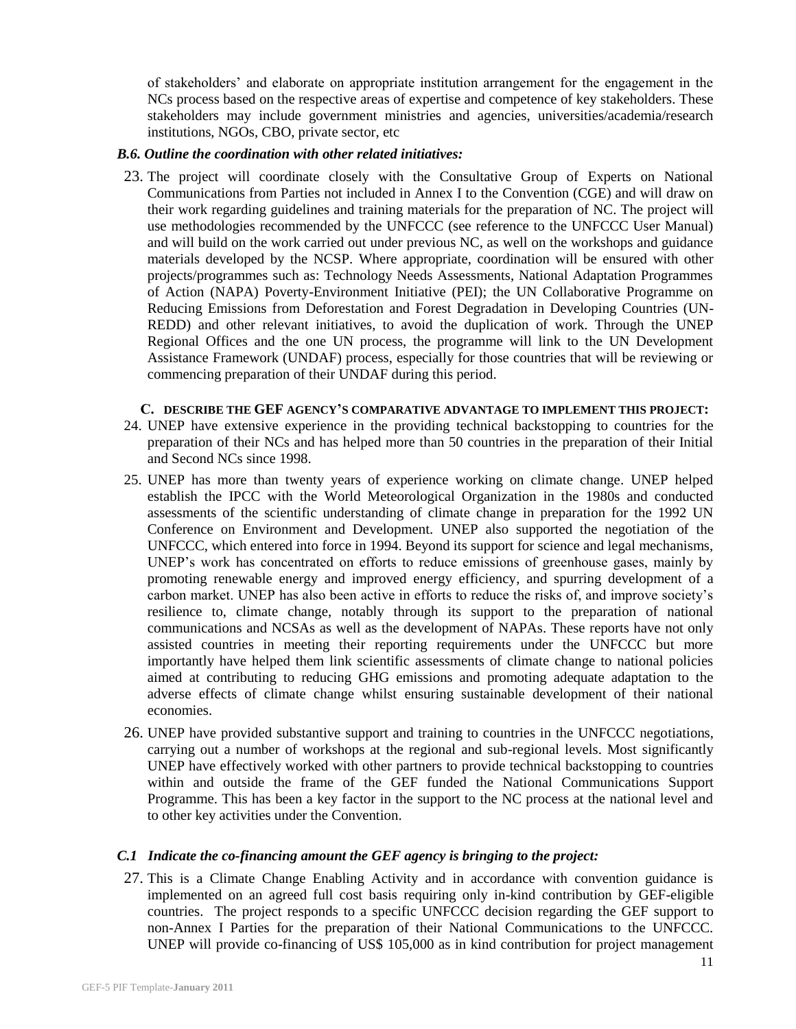of stakeholders' and elaborate on appropriate institution arrangement for the engagement in the NCs process based on the respective areas of expertise and competence of key stakeholders. These stakeholders may include government ministries and agencies, universities/academia/research institutions, NGOs, CBO, private sector, etc

#### *B.6. Outline the coordination with other related initiatives:*

23. The project will coordinate closely with the Consultative Group of Experts on National Communications from Parties not included in Annex I to the Convention (CGE) and will draw on their work regarding guidelines and training materials for the preparation of NC. The project will use methodologies recommended by the UNFCCC (see reference to the UNFCCC User Manual) and will build on the work carried out under previous NC, as well on the workshops and guidance materials developed by the NCSP. Where appropriate, coordination will be ensured with other projects/programmes such as: Technology Needs Assessments, National Adaptation Programmes of Action (NAPA) Poverty-Environment Initiative (PEI); the UN Collaborative Programme on Reducing Emissions from Deforestation and Forest Degradation in Developing Countries (UN-REDD) and other relevant initiatives, to avoid the duplication of work. Through the UNEP Regional Offices and the one UN process, the programme will link to the UN Development Assistance Framework (UNDAF) process, especially for those countries that will be reviewing or commencing preparation of their UNDAF during this period.

#### **C. DESCRIBE THE GEF AGENCY'S COMPARATIVE ADVANTAGE TO IMPLEMENT THIS PROJECT:**

- 24. UNEP have extensive experience in the providing technical backstopping to countries for the preparation of their NCs and has helped more than 50 countries in the preparation of their Initial and Second NCs since 1998.
- 25. UNEP has more than twenty years of experience working on climate change. UNEP helped establish the IPCC with the World Meteorological Organization in the 1980s and conducted assessments of the scientific understanding of climate change in preparation for the 1992 UN Conference on Environment and Development. UNEP also supported the negotiation of the UNFCCC, which entered into force in 1994. Beyond its support for science and legal mechanisms, UNEP's work has concentrated on efforts to reduce emissions of greenhouse gases, mainly by promoting renewable energy and improved energy efficiency, and spurring development of a carbon market. UNEP has also been active in efforts to reduce the risks of, and improve society's resilience to, climate change, notably through its support to the preparation of national communications and NCSAs as well as the development of NAPAs. These reports have not only assisted countries in meeting their reporting requirements under the UNFCCC but more importantly have helped them link scientific assessments of climate change to national policies aimed at contributing to reducing GHG emissions and promoting adequate adaptation to the adverse effects of climate change whilst ensuring sustainable development of their national economies.
- 26. UNEP have provided substantive support and training to countries in the UNFCCC negotiations, carrying out a number of workshops at the regional and sub-regional levels. Most significantly UNEP have effectively worked with other partners to provide technical backstopping to countries within and outside the frame of the GEF funded the National Communications Support Programme. This has been a key factor in the support to the NC process at the national level and to other key activities under the Convention.

#### *C.1 Indicate the co-financing amount the GEF agency is bringing to the project:*

27. This is a Climate Change Enabling Activity and in accordance with convention guidance is implemented on an agreed full cost basis requiring only in-kind contribution by GEF-eligible countries. The project responds to a specific UNFCCC decision regarding the GEF support to non-Annex I Parties for the preparation of their National Communications to the UNFCCC. UNEP will provide co-financing of US\$ 105,000 as in kind contribution for project management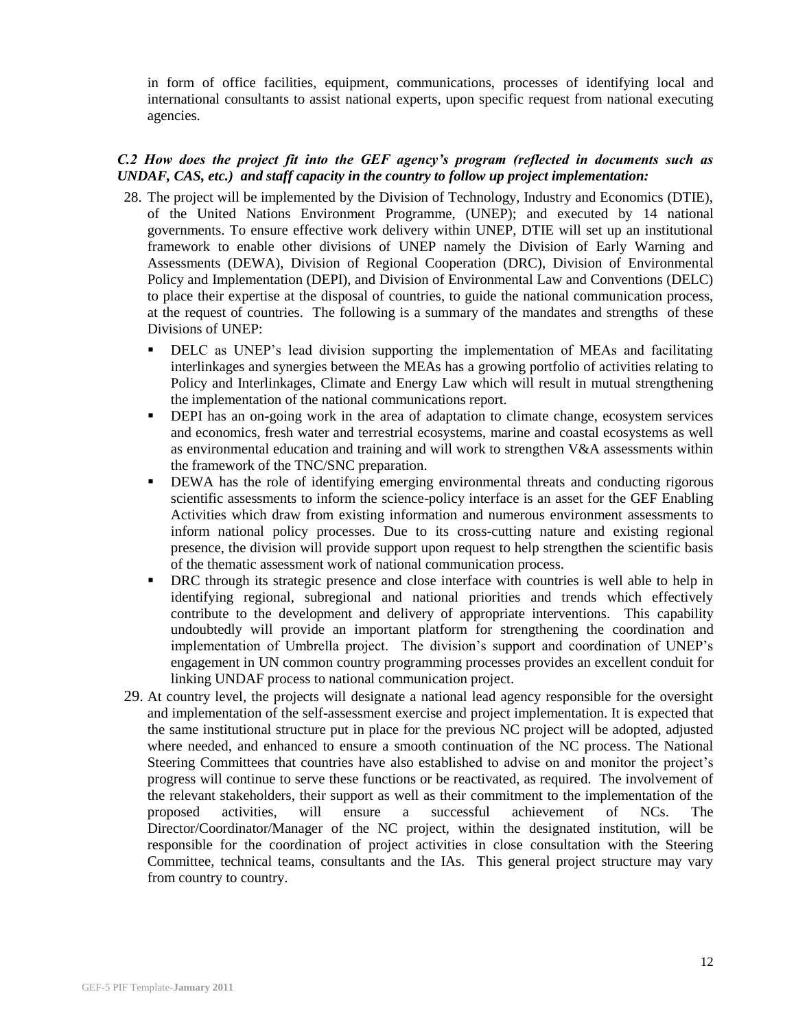in form of office facilities, equipment, communications, processes of identifying local and international consultants to assist national experts, upon specific request from national executing agencies.

#### *C.2 How does the project fit into the GEF agency's program (reflected in documents such as UNDAF, CAS, etc.) and staff capacity in the country to follow up project implementation:*

- 28. The project will be implemented by the Division of Technology, Industry and Economics (DTIE), of the United Nations Environment Programme, (UNEP); and executed by 14 national governments. To ensure effective work delivery within UNEP, DTIE will set up an institutional framework to enable other divisions of UNEP namely the Division of Early Warning and Assessments (DEWA), Division of Regional Cooperation (DRC), Division of Environmental Policy and Implementation (DEPI), and Division of Environmental Law and Conventions (DELC) to place their expertise at the disposal of countries, to guide the national communication process, at the request of countries. The following is a summary of the mandates and strengths of these Divisions of UNEP:
	- DELC as UNEP's lead division supporting the implementation of MEAs and facilitating interlinkages and synergies between the MEAs has a growing portfolio of activities relating to Policy and Interlinkages, Climate and Energy Law which will result in mutual strengthening the implementation of the national communications report.
	- DEPI has an on-going work in the area of adaptation to climate change, ecosystem services and economics, fresh water and terrestrial ecosystems, marine and coastal ecosystems as well as environmental education and training and will work to strengthen V&A assessments within the framework of the TNC/SNC preparation.
	- DEWA has the role of identifying emerging environmental threats and conducting rigorous scientific assessments to inform the science-policy interface is an asset for the GEF Enabling Activities which draw from existing information and numerous environment assessments to inform national policy processes. Due to its cross-cutting nature and existing regional presence, the division will provide support upon request to help strengthen the scientific basis of the thematic assessment work of national communication process.
	- DRC through its strategic presence and close interface with countries is well able to help in identifying regional, subregional and national priorities and trends which effectively contribute to the development and delivery of appropriate interventions. This capability undoubtedly will provide an important platform for strengthening the coordination and implementation of Umbrella project. The division's support and coordination of UNEP's engagement in UN common country programming processes provides an excellent conduit for linking UNDAF process to national communication project.
- 29. At country level, the projects will designate a national lead agency responsible for the oversight and implementation of the self-assessment exercise and project implementation. It is expected that the same institutional structure put in place for the previous NC project will be adopted, adjusted where needed, and enhanced to ensure a smooth continuation of the NC process. The National Steering Committees that countries have also established to advise on and monitor the project's progress will continue to serve these functions or be reactivated, as required. The involvement of the relevant stakeholders, their support as well as their commitment to the implementation of the proposed activities, will ensure a successful achievement of NCs. The Director/Coordinator/Manager of the NC project, within the designated institution, will be responsible for the coordination of project activities in close consultation with the Steering Committee, technical teams, consultants and the IAs. This general project structure may vary from country to country.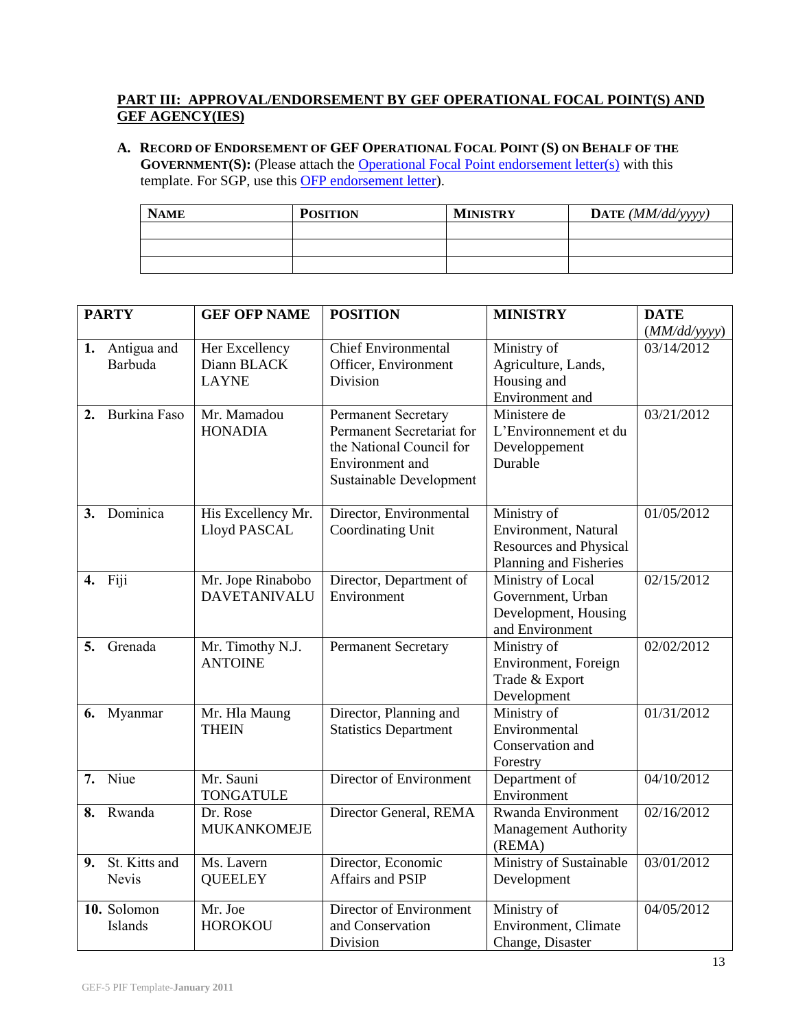# **PART III: APPROVAL/ENDORSEMENT BY GEF OPERATIONAL FOCAL POINT(S) AND GEF AGENCY(IES)**

**A. RECORD OF ENDORSEMENT OF GEF OPERATIONAL FOCAL POINT (S) ON BEHALF OF THE GOVERNMENT(S):** (Please attach the **[Operational Focal Point endorsement letter\(s\)](http://www.thegef.org/gef/sites/thegef.org/files/documents/OFP%20Endorsement%20Letter%20Template%2009-29-2010.doc)** with this template. For SGP, use this [OFP endorsement letter\)](http://www.thegef.org/gef/sites/thegef.org/files/documents/OFP%20Endorsement%20Letter%20Template%20for%20SGP%2009-08-2010.doc).

| <b>NAME</b> | <b>POSITION</b> | <b>MINISTRY</b> | DATE $(MM/dd/vyyy)$ |
|-------------|-----------------|-----------------|---------------------|
|             |                 |                 |                     |
|             |                 |                 |                     |
|             |                 |                 |                     |

|    | <b>PARTY</b>                  | <b>GEF OFP NAME</b>                           | <b>POSITION</b>                                                                                                            | <b>MINISTRY</b>                                                                                | <b>DATE</b>  |
|----|-------------------------------|-----------------------------------------------|----------------------------------------------------------------------------------------------------------------------------|------------------------------------------------------------------------------------------------|--------------|
|    |                               |                                               |                                                                                                                            |                                                                                                | (MM/dd/yyyy) |
| 1. | Antigua and<br>Barbuda        | Her Excellency<br>Diann BLACK<br><b>LAYNE</b> | <b>Chief Environmental</b><br>Officer, Environment<br>Division                                                             | Ministry of<br>Agriculture, Lands,<br>Housing and<br>Environment and                           | 03/14/2012   |
| 2. | Burkina Faso                  | Mr. Mamadou<br><b>HONADIA</b>                 | Permanent Secretary<br>Permanent Secretariat for<br>the National Council for<br>Environment and<br>Sustainable Development | Ministere de<br>L'Environnement et du<br>Developpement<br>Durable                              | 03/21/2012   |
| 3. | Dominica                      | His Excellency Mr.<br>Lloyd PASCAL            | Director, Environmental<br><b>Coordinating Unit</b>                                                                        | Ministry of<br>Environment, Natural<br><b>Resources and Physical</b><br>Planning and Fisheries | 01/05/2012   |
| 4. | Fiji                          | Mr. Jope Rinabobo<br><b>DAVETANIVALU</b>      | Director, Department of<br>Environment                                                                                     | Ministry of Local<br>Government, Urban<br>Development, Housing<br>and Environment              | 02/15/2012   |
| 5. | Grenada                       | Mr. Timothy N.J.<br><b>ANTOINE</b>            | <b>Permanent Secretary</b>                                                                                                 | Ministry of<br>Environment, Foreign<br>Trade & Export<br>Development                           | 02/02/2012   |
| 6. | Myanmar                       | Mr. Hla Maung<br><b>THEIN</b>                 | Director, Planning and<br><b>Statistics Department</b>                                                                     | Ministry of<br>Environmental<br>Conservation and<br>Forestry                                   | 01/31/2012   |
| 7. | Niue                          | Mr. Sauni<br><b>TONGATULE</b>                 | Director of Environment                                                                                                    | Department of<br>Environment                                                                   | 04/10/2012   |
| 8. | Rwanda                        | Dr. Rose<br><b>MUKANKOMEJE</b>                | Director General, REMA                                                                                                     | Rwanda Environment<br>Management Authority<br>(REMA)                                           | 02/16/2012   |
| 9. | St. Kitts and<br><b>Nevis</b> | Ms. Lavern<br><b>QUEELEY</b>                  | Director, Economic<br><b>Affairs and PSIP</b>                                                                              | Ministry of Sustainable<br>Development                                                         | 03/01/2012   |
|    | 10. Solomon<br>Islands        | Mr. Joe<br><b>HOROKOU</b>                     | Director of Environment<br>and Conservation<br>Division                                                                    | Ministry of<br>Environment, Climate<br>Change, Disaster                                        | 04/05/2012   |